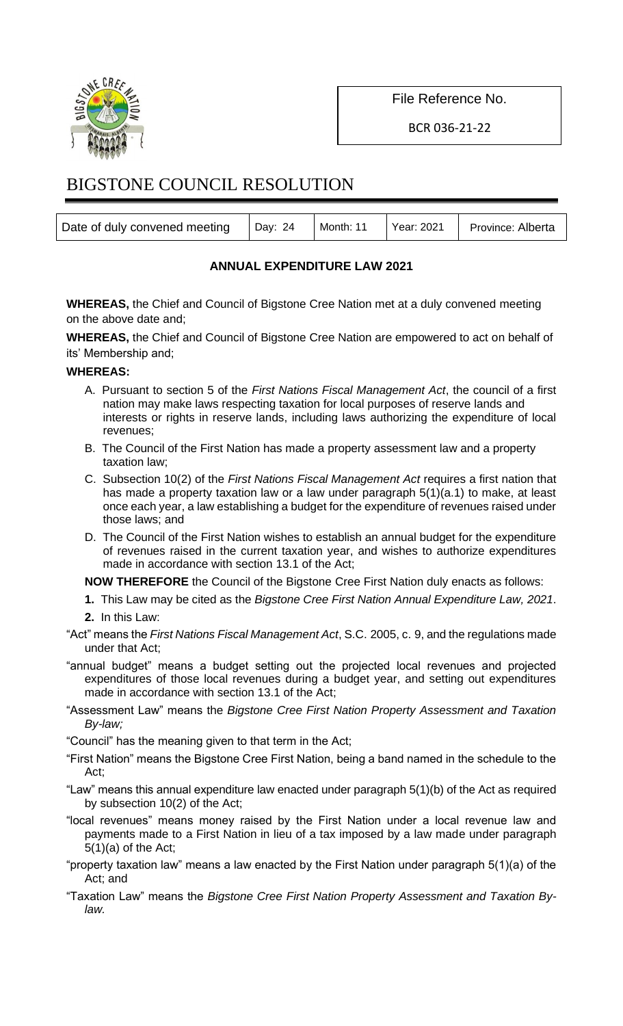

File Reference No.

BCR 036-21-22

# BIGSTONE COUNCIL RESOLUTION

| Date of duly convened meeting   Day: 24 |  | Month: 11   Year: 2021   Province: Alberta |
|-----------------------------------------|--|--------------------------------------------|
|                                         |  |                                            |

## **ANNUAL EXPENDITURE LAW 2021**

**WHEREAS,** the Chief and Council of Bigstone Cree Nation met at a duly convened meeting on the above date and;

**WHEREAS,** the Chief and Council of Bigstone Cree Nation are empowered to act on behalf of its' Membership and;

#### **WHEREAS:**

- A. Pursuant to section 5 of the *First Nations Fiscal Management Act*, the council of a first nation may make laws respecting taxation for local purposes of reserve lands and interests or rights in reserve lands, including laws authorizing the expenditure of local revenues;
- B. The Council of the First Nation has made a property assessment law and a property taxation law;
- C. Subsection 10(2) of the *First Nations Fiscal Management Act* requires a first nation that has made a property taxation law or a law under paragraph 5(1)(a.1) to make, at least once each year, a law establishing a budget for the expenditure of revenues raised under those laws; and
- D. The Council of the First Nation wishes to establish an annual budget for the expenditure of revenues raised in the current taxation year, and wishes to authorize expenditures made in accordance with section 13.1 of the Act;

**NOW THEREFORE** the Council of the Bigstone Cree First Nation duly enacts as follows:

- **1.** This Law may be cited as the *Bigstone Cree First Nation Annual Expenditure Law, 2021*.
- **2.** In this Law:
- "Act" means the *First Nations Fiscal Management Act*, S.C. 2005, c. 9, and the regulations made under that Act;
- "annual budget" means a budget setting out the projected local revenues and projected expenditures of those local revenues during a budget year, and setting out expenditures made in accordance with section 13.1 of the Act;
- "Assessment Law" means the *Bigstone Cree First Nation Property Assessment and Taxation By-law;*
- "Council" has the meaning given to that term in the Act;
- "First Nation" means the Bigstone Cree First Nation, being a band named in the schedule to the Act;
- "Law" means this annual expenditure law enacted under paragraph 5(1)(b) of the Act as required by subsection 10(2) of the Act;
- "local revenues" means money raised by the First Nation under a local revenue law and payments made to a First Nation in lieu of a tax imposed by a law made under paragraph  $5(1)(a)$  of the Act;
- "property taxation law" means a law enacted by the First Nation under paragraph 5(1)(a) of the Act; and
- "Taxation Law" means the *Bigstone Cree First Nation Property Assessment and Taxation Bylaw.*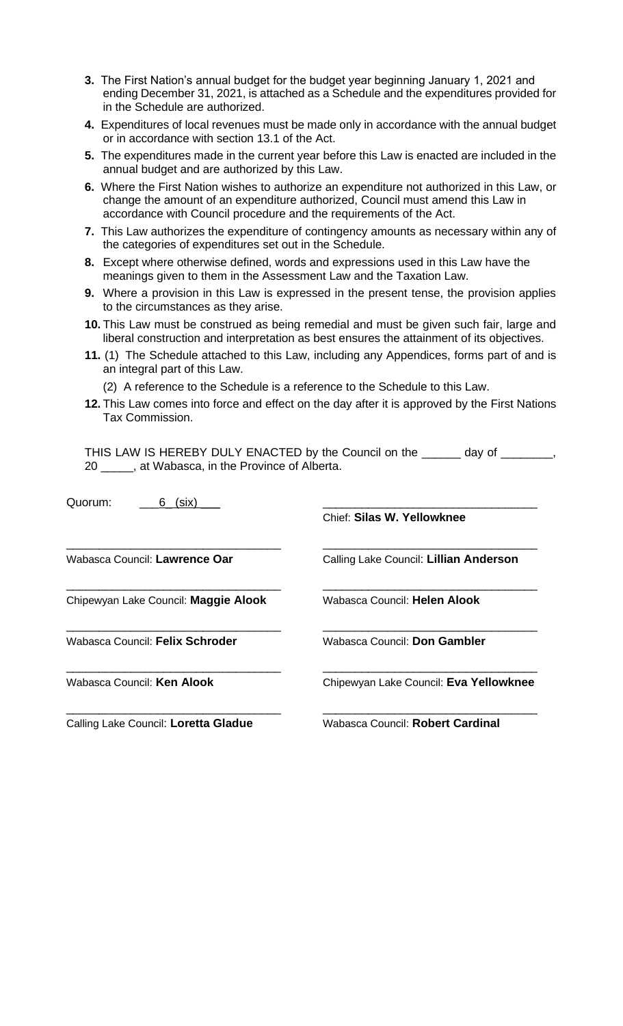- **3.** The First Nation's annual budget for the budget year beginning January 1, 2021 and ending December 31, 2021, is attached as a Schedule and the expenditures provided for in the Schedule are authorized.
- **4.** Expenditures of local revenues must be made only in accordance with the annual budget or in accordance with section 13.1 of the Act.
- **5.** The expenditures made in the current year before this Law is enacted are included in the annual budget and are authorized by this Law.
- **6.** Where the First Nation wishes to authorize an expenditure not authorized in this Law, or change the amount of an expenditure authorized, Council must amend this Law in accordance with Council procedure and the requirements of the Act.
- **7.** This Law authorizes the expenditure of contingency amounts as necessary within any of the categories of expenditures set out in the Schedule.
- **8.** Except where otherwise defined, words and expressions used in this Law have the meanings given to them in the Assessment Law and the Taxation Law.
- **9.** Where a provision in this Law is expressed in the present tense, the provision applies to the circumstances as they arise.
- **10.** This Law must be construed as being remedial and must be given such fair, large and liberal construction and interpretation as best ensures the attainment of its objectives.
- **11.** (1) The Schedule attached to this Law, including any Appendices, forms part of and is an integral part of this Law.
	- (2) A reference to the Schedule is a reference to the Schedule to this Law.
- **12.** This Law comes into force and effect on the day after it is approved by the First Nations Tax Commission.

THIS LAW IS HEREBY DULY ENACTED by the Council on the \_\_\_\_\_\_ day of \_\_\_\_\_\_\_, 20 \_\_\_\_\_, at Wabasca, in the Province of Alberta.

| Quorum:<br>(six)<br>6                |                                        |
|--------------------------------------|----------------------------------------|
|                                      | Chief: Silas W. Yellowknee             |
| Wabasca Council: <b>Lawrence Oar</b> | Calling Lake Council: Lillian Anderson |
| Chipewyan Lake Council: Maggie Alook | Wabasca Council: Helen Alook           |
| Wabasca Council: Felix Schroder      | Wabasca Council: Don Gambler           |
| Wabasca Council: Ken Alook           | Chipewyan Lake Council: Eva Yellowknee |
| Calling Lake Council: Loretta Gladue | Wabasca Council: Robert Cardinal       |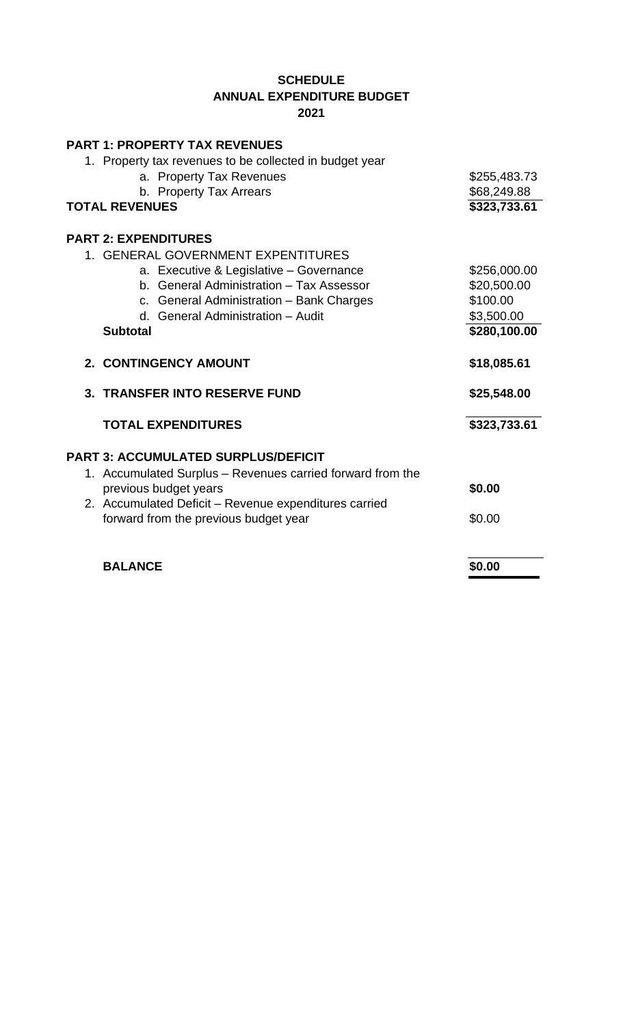### **SCHEDULE ANNUAL EXPENDITURE BUDGET 2021**

| <b>PART 1: PROPERTY TAX REVENUES</b>                       |              |
|------------------------------------------------------------|--------------|
| 1. Property tax revenues to be collected in budget year    |              |
| a. Property Tax Revenues                                   | \$255,483.73 |
| b. Property Tax Arrears                                    | \$68,249.88  |
| <b>TOTAL REVENUES</b>                                      | \$323,733.61 |
| <b>PART 2: EXPENDITURES</b>                                |              |
| 1. GENERAL GOVERNMENT EXPENTITURES                         |              |
| a. Executive & Legislative - Governance                    | \$256,000.00 |
| b. General Administration - Tax Assessor                   | \$20,500.00  |
| c. General Administration - Bank Charges                   | \$100.00     |
| d. General Administration - Audit                          | \$3,500.00   |
| <b>Subtotal</b>                                            | \$280,100.00 |
|                                                            |              |
| 2. CONTINGENCY AMOUNT                                      | \$18,085.61  |
| 3. TRANSFER INTO RESERVE FUND                              | \$25,548.00  |
|                                                            |              |
| <b>TOTAL EXPENDITURES</b>                                  | \$323,733.61 |
| <b>PART 3: ACCUMULATED SURPLUS/DEFICIT</b>                 |              |
| 1. Accumulated Surplus – Revenues carried forward from the |              |
| previous budget years                                      | \$0.00       |
| 2. Accumulated Deficit - Revenue expenditures carried      |              |
| forward from the previous budget year                      | \$0.00       |
|                                                            |              |